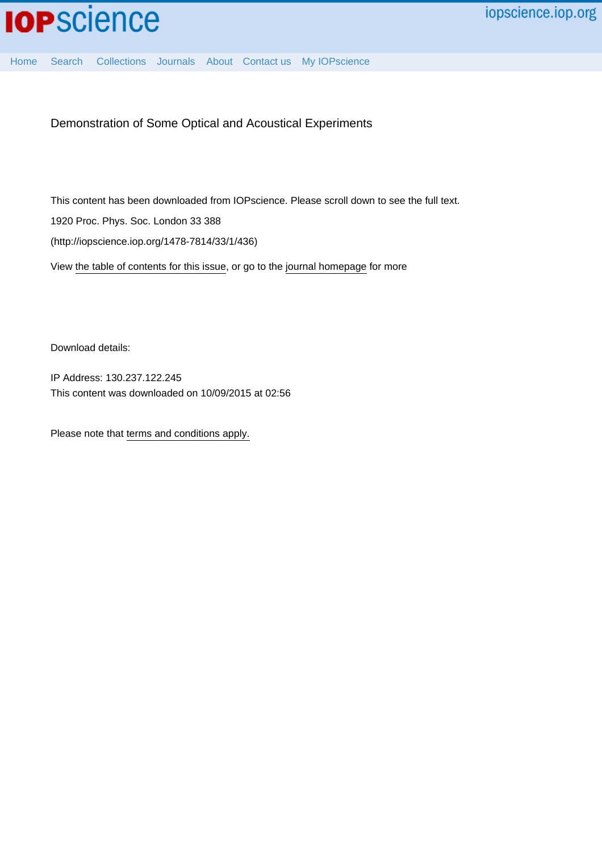[Home](http://iopscience.iop.org/) [Search](http://iopscience.iop.org/search) [Collections](http://iopscience.iop.org/collections) [Journals](http://iopscience.iop.org/journals) [About](http://iopscience.iop.org/page/aboutioppublishing) [Contact us](http://iopscience.iop.org/contact) [My IOPscience](http://iopscience.iop.org/myiopscience)

Demonstration of Some Optical and Acoustical Experiments

This content has been downloaded from IOPscience. Please scroll down to see the full text. 1920 Proc. Phys. Soc. London 33 388 (http://iopscience.iop.org/1478-7814/33/1/436)

View [the table of contents for this issue](http://iopscience.iop.org/1478-7814/33/1), or go to the [journal homepage](http://iopscience.iop.org/1478-7814) for more

Download details:

IP Address: 130.237.122.245 This content was downloaded on 10/09/2015 at 02:56

Please note that [terms and conditions apply.](iopscience.iop.org/page/terms)